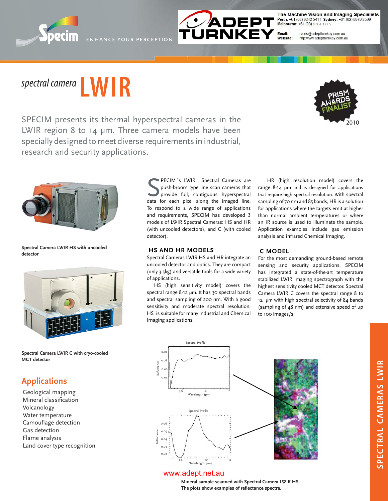



The Machine Vision and Imaging Specialists

# *spectral camera* **LWIR**

2010

SPECIM presents its thermal hyperspectral cameras in the LWIR region 8 to 14 um. Three camera models have been specially designed to meet diverse requirements in industrial, research and security applications.



**Spectral Camera LWIR HS with uncooled detector**



**Spectral Camera LWIR C with cryo-cooled MCT detector**

### **Applications**

Geological mapping Mineral classification Volcanology Water temperature Camouflage detection Gas detection Flame analysis Land cover type recognition

**SECIM's LWIR** Spectral Cameras are push-broom type line scan cameras that provide full, contiguous hyperspectral data for each pixel along the imaged line. PECIM´s LWIR Spectral Cameras are push-broom type line scan cameras that provide full, contiguous hyperspectral To respond to a wide range of applications and requirements, SPECIM has developed 3 models of LWIR Spectral Cameras: HS and HR (with uncooled detectors), and C (with cooled detector).

#### **HS AND HR MODELS**

Spectral Cameras LWIR HS and HR integrate an uncooled detector and optics. They are compact (only 3.5kg) and versatile tools for a wide variety of applications.

HS (high sensitivity model) covers the spectral range 8-12 μm. It has 30 spectral bands and spectral sampling of 200 nm. With a good sensitivity and moderate spectral resolution, HS is suitable for many industrial and Chemical Imaging applications.

HR (high resolution model) covers the range 8-14 μm and is designed for applications that require high spectral resolution. With spectral sampling of 70 nm and 85 bands, HR is a solution for applications where the targets emit at higher than normal ambient temperatures or where an IR source is used to illuminate the sample. Application examples include gas emission analysis and infrared Chemical Imaging.

#### **C MODEL**

For the most demanding ground-based remote sensing and security applications, SPECIM has integrated a state-of-the-art temperature stabilized LWIR imaging spectrograph with the highest sensitivity cooled MCT detector. Spectral Camera LWIR C covers the spectral range 8 to 12 μm with high spectral selectivity of 84 bands (sampling of 48 nm) and extensive speed of up to 100 images/s.



#### www.adept.net.au

**Mineral sample scanned with Spectral Camera LWIR HS.**  The plots show examples of reflectance spectra.